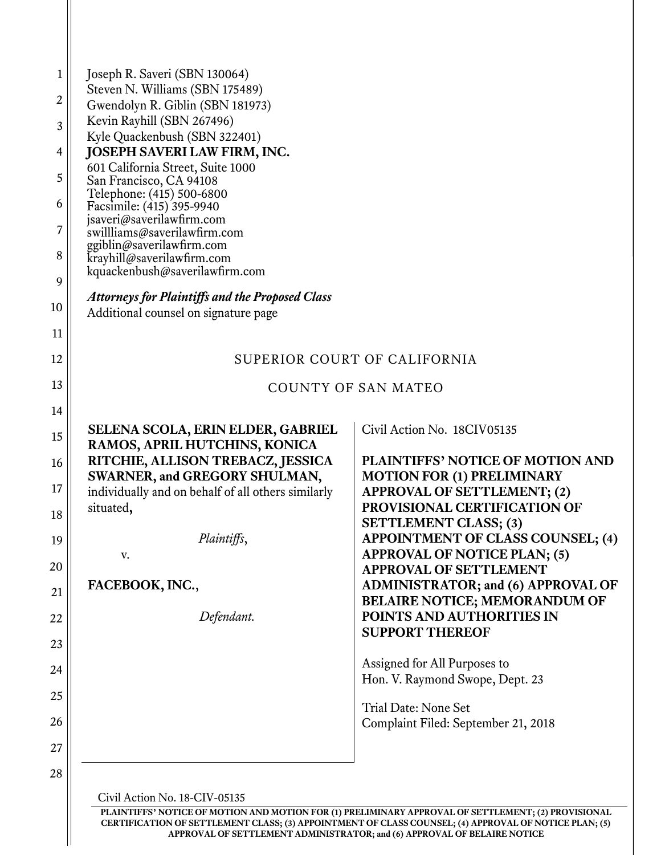| $\mathbf 1$ | Joseph R. Saveri (SBN 130064)                                       |                                                                                   |
|-------------|---------------------------------------------------------------------|-----------------------------------------------------------------------------------|
| 2           | Steven N. Williams (SBN 175489)<br>Gwendolyn R. Giblin (SBN 181973) |                                                                                   |
| 3           | Kevin Rayhill (SBN 267496)                                          |                                                                                   |
|             | Kyle Quackenbush (SBN 322401)                                       |                                                                                   |
| 4           | JOSEPH SAVERI LAW FIRM, INC.<br>601 California Street, Suite 1000   |                                                                                   |
| 5           | San Francisco, CA 94108                                             |                                                                                   |
| 6           | Telephone: (415) 500-6800<br>Facsimile: (415) 395-9940              |                                                                                   |
| 7           | jsaveri@saverilawfirm.com<br>swillliams@saverilawfirm.com           |                                                                                   |
| 8           | ggiblin@saverilawfirm.com<br>krayhill@saverilawfirm.com             |                                                                                   |
| 9           | kquackenbush@saverilawfirm.com                                      |                                                                                   |
|             | <b>Attorneys for Plaintiffs and the Proposed Class</b>              |                                                                                   |
| 10          | Additional counsel on signature page                                |                                                                                   |
| 11          |                                                                     |                                                                                   |
| 12          |                                                                     | SUPERIOR COURT OF CALIFORNIA                                                      |
| 13          |                                                                     | <b>COUNTY OF SAN MATEO</b>                                                        |
| 14          |                                                                     |                                                                                   |
| 15          | SELENA SCOLA, ERIN ELDER, GABRIEL                                   | Civil Action No. 18CIV05135                                                       |
| 16          | RAMOS, APRIL HUTCHINS, KONICA<br>RITCHIE, ALLISON TREBACZ, JESSICA  | PLAINTIFFS' NOTICE OF MOTION AND                                                  |
|             | SWARNER, and GREGORY SHULMAN,                                       | <b>MOTION FOR (1) PRELIMINARY</b>                                                 |
| 17          | individually and on behalf of all others similarly<br>situated,     | <b>APPROVAL OF SETTLEMENT; (2)</b><br>PROVISIONAL CERTIFICATION OF                |
| 18          |                                                                     | <b>SETTLEMENT CLASS; (3)</b>                                                      |
| 19          | Plaintiffs,                                                         | APPOINTMENT OF CLASS COUNSEL; (4)                                                 |
| 20          | V.                                                                  | <b>APPROVAL OF NOTICE PLAN; (5)</b><br><b>APPROVAL OF SETTLEMENT</b>              |
| 21          | FACEBOOK, INC.,                                                     | <b>ADMINISTRATOR; and (6) APPROVAL OF</b><br><b>BELAIRE NOTICE; MEMORANDUM OF</b> |
| 22          | Defendant.                                                          | POINTS AND AUTHORITIES IN                                                         |
| 23          |                                                                     | <b>SUPPORT THEREOF</b>                                                            |
| 24          |                                                                     | Assigned for All Purposes to                                                      |
| 25          |                                                                     | Hon. V. Raymond Swope, Dept. 23                                                   |
| 26          |                                                                     | Trial Date: None Set<br>Complaint Filed: September 21, 2018                       |
| 27          |                                                                     |                                                                                   |
|             |                                                                     |                                                                                   |
| 28          |                                                                     |                                                                                   |
|             | Civil Action No. 18-CIV-05135                                       |                                                                                   |

PLAINTIFFS' NOTICE OF MOTION AND MOTION FOR (1) PRELIMINARY APPROVAL OF SETTLEMENT; (2) PROVISIONAL CERTIFICATION OF SETTLEMENT CLASS; (3) APPOINTMENT OF CLASS COUNSEL; (4) APPROVAL OF NOTICE PLAN; (5) APPROVAL OF SETTLEMENT ADMINISTRATOR; and (6) APPROVAL OF BELAIRE NOTICE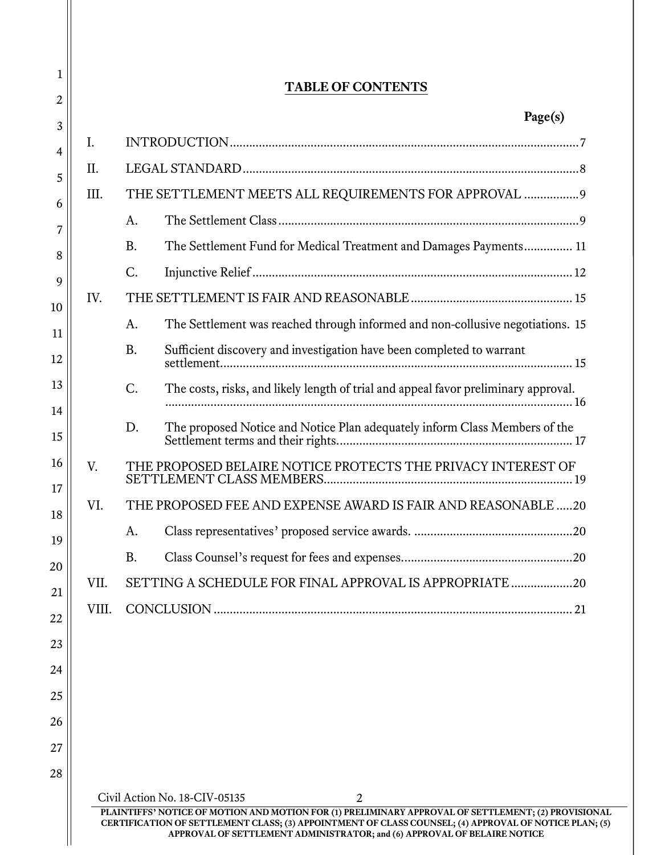|       |                               | Page(s)                                                                             |
|-------|-------------------------------|-------------------------------------------------------------------------------------|
| I.    |                               |                                                                                     |
| II.   |                               |                                                                                     |
| III.  |                               | THE SETTLEMENT MEETS ALL REQUIREMENTS FOR APPROVAL  9                               |
|       | A.                            |                                                                                     |
|       | <b>B.</b>                     | The Settlement Fund for Medical Treatment and Damages Payments 11                   |
|       | C.                            |                                                                                     |
| IV.   |                               |                                                                                     |
|       | A.                            | The Settlement was reached through informed and non-collusive negotiations. 15      |
|       | <b>B.</b>                     | Sufficient discovery and investigation have been completed to warrant               |
|       | C.                            | The costs, risks, and likely length of trial and appeal favor preliminary approval. |
|       | D.                            | The proposed Notice and Notice Plan adequately inform Class Members of the          |
| V.    |                               | THE PROPOSED BELAIRE NOTICE PROTECTS THE PRIVACY INTEREST OF                        |
| VI.   |                               | THE PROPOSED FEE AND EXPENSE AWARD IS FAIR AND REASONABLE 20                        |
|       | А.                            |                                                                                     |
|       | <b>B.</b>                     |                                                                                     |
| VII.  |                               | SETTING A SCHEDULE FOR FINAL APPROVAL IS APPROPRIATE20                              |
| VIII. |                               |                                                                                     |
|       |                               |                                                                                     |
|       |                               |                                                                                     |
|       |                               |                                                                                     |
|       |                               |                                                                                     |
|       |                               |                                                                                     |
|       |                               |                                                                                     |
|       | Civil Action No. 18-CIV-05135 | $\overline{2}$                                                                      |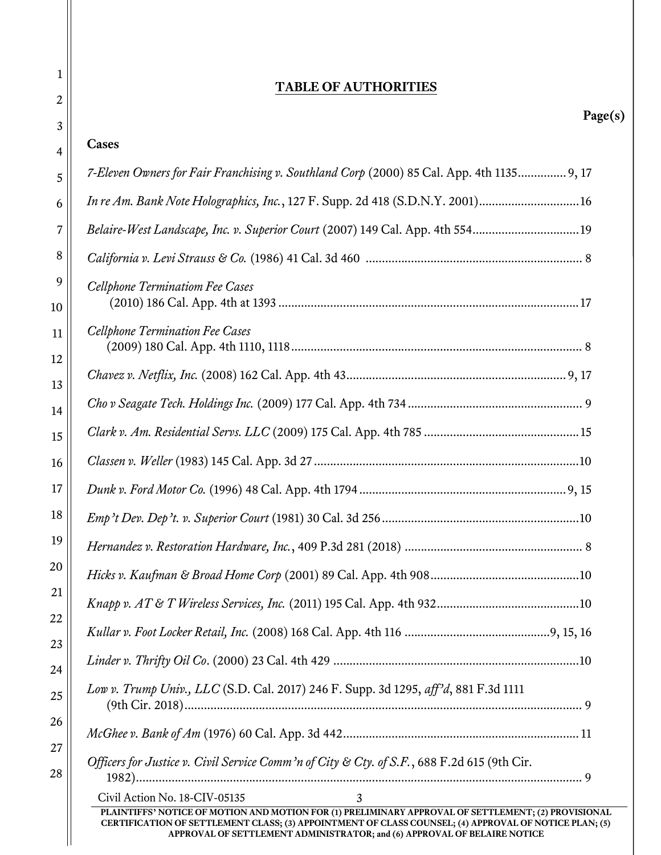| <b>TABLE OF AUTHORITIES</b>                                                                                                               |  |
|-------------------------------------------------------------------------------------------------------------------------------------------|--|
| Page(s)<br>Cases                                                                                                                          |  |
| 7-Eleven Owners for Fair Franchising v. Southland Corp (2000) 85 Cal. App. 4th 1135 9, 17                                                 |  |
|                                                                                                                                           |  |
| In re Am. Bank Note Holographics, Inc., 127 F. Supp. 2d 418 (S.D.N.Y. 2001)16                                                             |  |
| Belaire-West Landscape, Inc. v. Superior Court (2007) 149 Cal. App. 4th 55419                                                             |  |
|                                                                                                                                           |  |
| Cellphone Terminatiom Fee Cases                                                                                                           |  |
| <b>Cellphone Termination Fee Cases</b>                                                                                                    |  |
|                                                                                                                                           |  |
|                                                                                                                                           |  |
|                                                                                                                                           |  |
|                                                                                                                                           |  |
|                                                                                                                                           |  |
|                                                                                                                                           |  |
|                                                                                                                                           |  |
|                                                                                                                                           |  |
|                                                                                                                                           |  |
|                                                                                                                                           |  |
|                                                                                                                                           |  |
| Low v. Trump Univ., LLC (S.D. Cal. 2017) 246 F. Supp. 3d 1295, aff'd, 881 F.3d 1111                                                       |  |
|                                                                                                                                           |  |
| Officers for Justice v. Civil Service Comm'n of City & Cty. of S.F., 688 F.2d 615 (9th Cir.                                               |  |
| Civil Action No. 18-CIV-05135<br>3<br>PLAINTIFFS' NOTICE OF MOTION AND MOTION FOR (1) PRELIMINARY APPROVAL OF SETTLEMENT; (2) PROVISIONAL |  |

1

2

3

4

5

6

7

8

9

10

11

12

13

14

15

16

17

18

19

20

21

22

23

24

25

26

27

28

 $\parallel$ 

CERTIFICATION OF SETTLEMENT CLASS; (3) APPOINTMENT OF CLASS COUNSEL; (4) APPROVAL OF NOTICE PLAN; (5) APPROVAL OF SETTLEMENT ADMINISTRATOR; and (6) APPROVAL OF BELAIRE NOTICE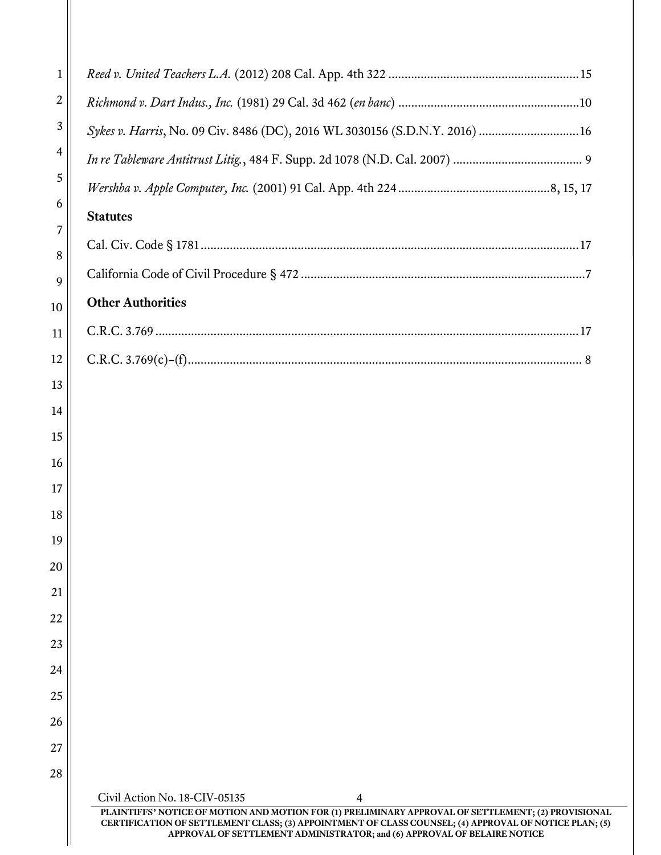| $\mathbf{1}$     |                                                                                                                                                                                                                                                                                          |
|------------------|------------------------------------------------------------------------------------------------------------------------------------------------------------------------------------------------------------------------------------------------------------------------------------------|
| $\boldsymbol{2}$ |                                                                                                                                                                                                                                                                                          |
| 3                | Sykes v. Harris, No. 09 Civ. 8486 (DC), 2016 WL 3030156 (S.D.N.Y. 2016)  16                                                                                                                                                                                                              |
| 4                |                                                                                                                                                                                                                                                                                          |
| 5                |                                                                                                                                                                                                                                                                                          |
| 6                | <b>Statutes</b>                                                                                                                                                                                                                                                                          |
| 7                |                                                                                                                                                                                                                                                                                          |
| 8<br>9           |                                                                                                                                                                                                                                                                                          |
| 10               | <b>Other Authorities</b>                                                                                                                                                                                                                                                                 |
| 11               |                                                                                                                                                                                                                                                                                          |
| 12               |                                                                                                                                                                                                                                                                                          |
| 13               |                                                                                                                                                                                                                                                                                          |
| 14               |                                                                                                                                                                                                                                                                                          |
| 15               |                                                                                                                                                                                                                                                                                          |
| 16               |                                                                                                                                                                                                                                                                                          |
| 17               |                                                                                                                                                                                                                                                                                          |
| 18               |                                                                                                                                                                                                                                                                                          |
| 19               |                                                                                                                                                                                                                                                                                          |
| 20               |                                                                                                                                                                                                                                                                                          |
| 21               |                                                                                                                                                                                                                                                                                          |
| 22               |                                                                                                                                                                                                                                                                                          |
| 23               |                                                                                                                                                                                                                                                                                          |
| 24               |                                                                                                                                                                                                                                                                                          |
| 25               |                                                                                                                                                                                                                                                                                          |
| 26<br>27         |                                                                                                                                                                                                                                                                                          |
| 28               |                                                                                                                                                                                                                                                                                          |
|                  | Civil Action No. 18-CIV-05135<br>4                                                                                                                                                                                                                                                       |
|                  | PLAINTIFFS' NOTICE OF MOTION AND MOTION FOR (1) PRELIMINARY APPROVAL OF SETTLEMENT; (2) PROVISIONAL<br>CERTIFICATION OF SETTLEMENT CLASS; (3) APPOINTMENT OF CLASS COUNSEL; (4) APPROVAL OF NOTICE PLAN; (5)<br>APPROVAL OF SETTLEMENT ADMINISTRATOR; and (6) APPROVAL OF BELAIRE NOTICE |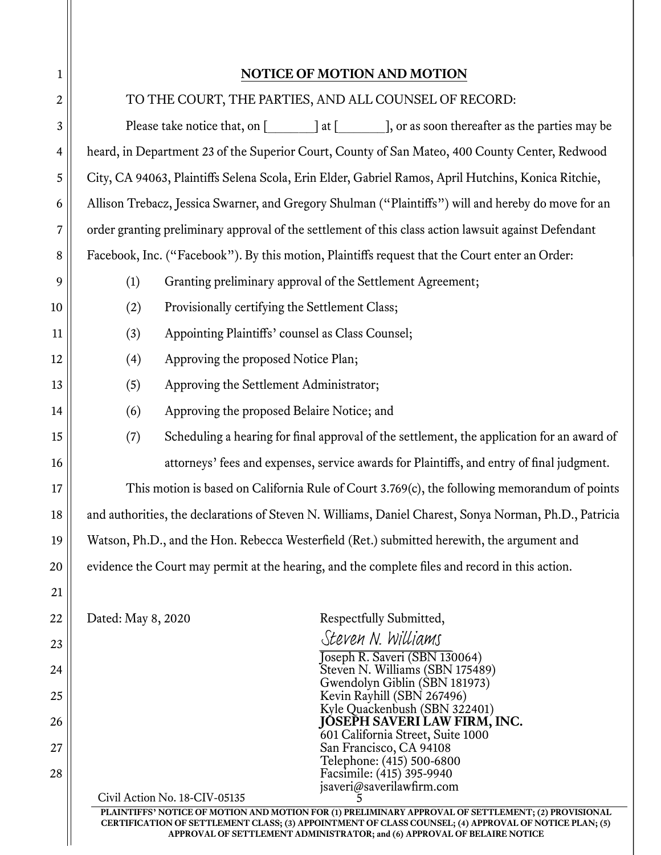1

| $\boldsymbol{2}$ | TO THE COURT, THE PARTIES, AND ALL COUNSEL OF RECORD:                                                                                                                                                        |  |  |
|------------------|--------------------------------------------------------------------------------------------------------------------------------------------------------------------------------------------------------------|--|--|
| 3                |                                                                                                                                                                                                              |  |  |
| 4                | heard, in Department 23 of the Superior Court, County of San Mateo, 400 County Center, Redwood                                                                                                               |  |  |
| 5                | City, CA 94063, Plaintiffs Selena Scola, Erin Elder, Gabriel Ramos, April Hutchins, Konica Ritchie,                                                                                                          |  |  |
| 6                | Allison Trebacz, Jessica Swarner, and Gregory Shulman ("Plaintiffs") will and hereby do move for an                                                                                                          |  |  |
| 7                | order granting preliminary approval of the settlement of this class action lawsuit against Defendant                                                                                                         |  |  |
| $\,8\,$          | Facebook, Inc. ("Facebook"). By this motion, Plaintiffs request that the Court enter an Order:                                                                                                               |  |  |
| 9                | Granting preliminary approval of the Settlement Agreement;<br>(1)                                                                                                                                            |  |  |
| 10               | Provisionally certifying the Settlement Class;<br>(2)                                                                                                                                                        |  |  |
| 11               | (3)<br>Appointing Plaintiffs' counsel as Class Counsel;                                                                                                                                                      |  |  |
| 12               | Approving the proposed Notice Plan;<br>(4)                                                                                                                                                                   |  |  |
| 13               | Approving the Settlement Administrator;<br>(5)                                                                                                                                                               |  |  |
| 14               | (6)<br>Approving the proposed Belaire Notice; and                                                                                                                                                            |  |  |
| 15               | Scheduling a hearing for final approval of the settlement, the application for an award of<br>(7)                                                                                                            |  |  |
| 16               | attorneys' fees and expenses, service awards for Plaintiffs, and entry of final judgment.                                                                                                                    |  |  |
| 17               | This motion is based on California Rule of Court 3.769(c), the following memorandum of points                                                                                                                |  |  |
| 18               | and authorities, the declarations of Steven N. Williams, Daniel Charest, Sonya Norman, Ph.D., Patricia                                                                                                       |  |  |
| 19               | Watson, Ph.D., and the Hon. Rebecca Westerfield (Ret.) submitted herewith, the argument and                                                                                                                  |  |  |
| 20               | evidence the Court may permit at the hearing, and the complete files and record in this action.                                                                                                              |  |  |
| 21               |                                                                                                                                                                                                              |  |  |
| 22               | Dated: May 8, 2020<br>Respectfully Submitted,                                                                                                                                                                |  |  |
| 23               | Steven N. Williams                                                                                                                                                                                           |  |  |
| 24               | Joseph R. Saveri (SBN 130064)<br>Steven N. Williams (SBN 175489)                                                                                                                                             |  |  |
| 25               | Gwendolyn Giblin (SBN 181973)<br>Kevin Rayhill (SBN 267496)                                                                                                                                                  |  |  |
| 26               | Kyle Quackenbush (SBN 322401)<br>JÓSEPH SAVERI LAW FIRM, INC.                                                                                                                                                |  |  |
| 27               | 601 California Street, Suite 1000<br>San Francisco, CA 94108                                                                                                                                                 |  |  |
| 28               | Telephone: (415) 500-6800<br>Facsimile: (415) 395-9940                                                                                                                                                       |  |  |
|                  | jsaveri@saverilawfirm.com<br>Civil Action No. 18-CIV-05135                                                                                                                                                   |  |  |
|                  | PLAINTIFFS' NOTICE OF MOTION AND MOTION FOR (1) PRELIMINARY APPROVAL OF SETTLEMENT; (2) PROVISIONAL<br>CERTIFICATION OF SETTLEMENT CLASS; (3) APPOINTMENT OF CLASS COUNSEL; (4) APPROVAL OF NOTICE PLAN; (5) |  |  |
|                  | APPROVAL OF SETTLEMENT ADMINISTRATOR; and (6) APPROVAL OF BELAIRE NOTICE                                                                                                                                     |  |  |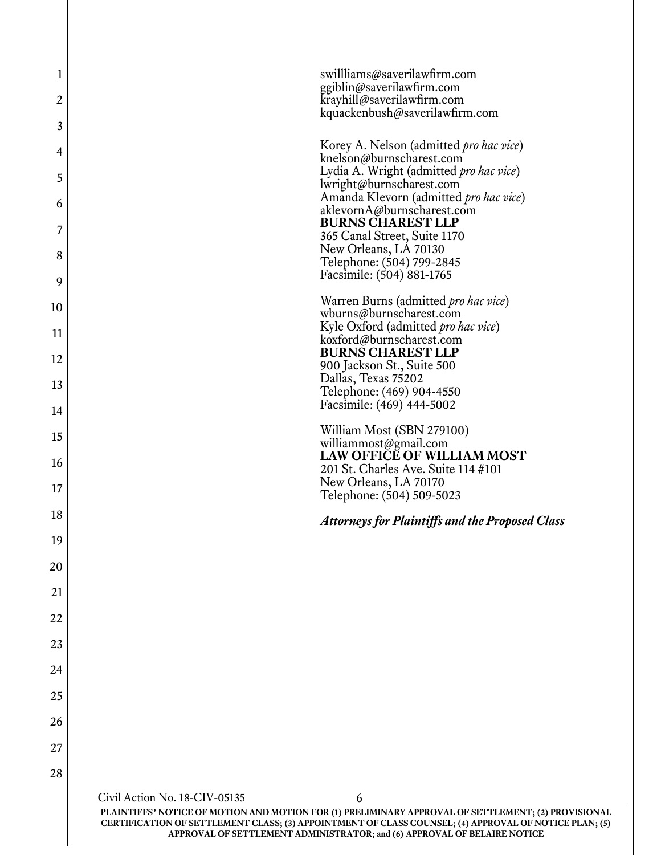| 1        | swillliams@saverilawfirm.com                                                                                                                                                                                                                                                             |  |
|----------|------------------------------------------------------------------------------------------------------------------------------------------------------------------------------------------------------------------------------------------------------------------------------------------|--|
| 2        | ggiblin@saverilawfirm.com<br>krayhill@saverilawfirm.com                                                                                                                                                                                                                                  |  |
| 3        | kquackenbush@saverilawfirm.com                                                                                                                                                                                                                                                           |  |
| 4        | Korey A. Nelson (admitted <i>pro hac vice</i> )                                                                                                                                                                                                                                          |  |
| 5        | knelson@burnscharest.com<br>Lydia A. Wright (admitted pro hac vice)                                                                                                                                                                                                                      |  |
| 6        | lwright@burnscharest.com<br>Amanda Klevorn (admitted pro hac vice)<br>aklevornA@burnscharest.com                                                                                                                                                                                         |  |
| 7        | <b>BURNS CHAREST LLP</b><br>365 Canal Street, Suite 1170                                                                                                                                                                                                                                 |  |
| 8        | New Orleans, LA 70130<br>Telephone: (504) 799-2845                                                                                                                                                                                                                                       |  |
| 9        | Facsimile: (504) 881-1765                                                                                                                                                                                                                                                                |  |
| 10       | Warren Burns (admitted <i>pro hac vice</i> )<br>wburns@burnscharest.com                                                                                                                                                                                                                  |  |
| 11       | Kyle Oxford (admitted pro hac vice)<br>koxford@burnscharest.com                                                                                                                                                                                                                          |  |
| 12       | <b>BURNS CHAREST LLP</b><br>900 Jackson St., Suite 500                                                                                                                                                                                                                                   |  |
| 13       | Dallas, Texas 75202<br>Telephone: (469) 904-4550                                                                                                                                                                                                                                         |  |
| 14       | Facsimile: (469) 444-5002                                                                                                                                                                                                                                                                |  |
| 15       | William Most (SBN 279100)<br>williammost@gmail.com                                                                                                                                                                                                                                       |  |
| 16       | <b>LAW OFFICE OF WILLIAM MOST</b><br>201 St. Charles Ave. Suite 114 #101                                                                                                                                                                                                                 |  |
| 17       | New Orleans, LA 70170<br>Telephone: (504) 509-5023                                                                                                                                                                                                                                       |  |
| 18       | <b>Attorneys for Plaintiffs and the Proposed Class</b>                                                                                                                                                                                                                                   |  |
| 19       |                                                                                                                                                                                                                                                                                          |  |
| 20       |                                                                                                                                                                                                                                                                                          |  |
| 21       |                                                                                                                                                                                                                                                                                          |  |
| 22       |                                                                                                                                                                                                                                                                                          |  |
| 23       |                                                                                                                                                                                                                                                                                          |  |
| 24       |                                                                                                                                                                                                                                                                                          |  |
| 25<br>26 |                                                                                                                                                                                                                                                                                          |  |
| 27       |                                                                                                                                                                                                                                                                                          |  |
| 28       |                                                                                                                                                                                                                                                                                          |  |
|          | Civil Action No. 18-CIV-05135<br>6                                                                                                                                                                                                                                                       |  |
|          | PLAINTIFFS' NOTICE OF MOTION AND MOTION FOR (1) PRELIMINARY APPROVAL OF SETTLEMENT; (2) PROVISIONAL<br>CERTIFICATION OF SETTLEMENT CLASS; (3) APPOINTMENT OF CLASS COUNSEL; (4) APPROVAL OF NOTICE PLAN; (5)<br>APPROVAL OF SETTLEMENT ADMINISTRATOR; and (6) APPROVAL OF BELAIRE NOTICE |  |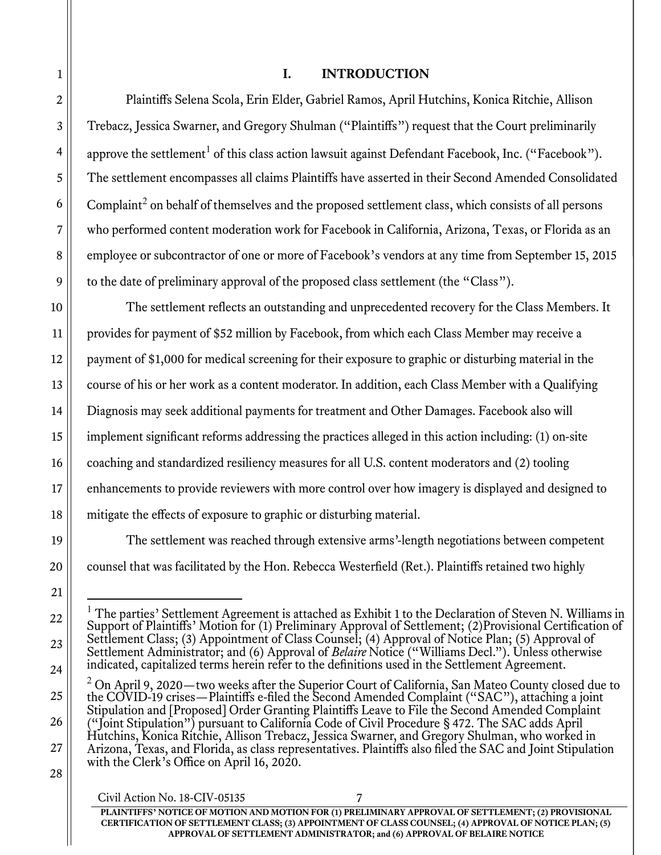## I. INTRODUCTION

Plaintiffs Selena Scola, Erin Elder, Gabriel Ramos, April Hutchins, Konica Ritchie, Allison Trebacz, Jessica Swarner, and Gregory Shulman ("Plaintiffs") request that the Court preliminarily approve the settlement<sup>1</sup> of this class action lawsuit against Defendant Facebook, Inc. ("Facebook"). The settlement encompasses all claims Plaintiffs have asserted in their Second Amended Consolidated Complaint<sup>2</sup> on behalf of themselves and the proposed settlement class, which consists of all persons who performed content moderation work for Facebook in California, Arizona, Texas, or Florida as an employee or subcontractor of one or more of Facebook's vendors at any time from September 15, 2015 to the date of preliminary approval of the proposed class settlement (the "Class").

The settlement reflects an outstanding and unprecedented recovery for the Class Members. It provides for payment of \$52 million by Facebook, from which each Class Member may receive a payment of \$1,000 for medical screening for their exposure to graphic or disturbing material in the course of his or her work as a content moderator. In addition, each Class Member with a Qualifying Diagnosis may seek additional payments for treatment and Other Damages. Facebook also will implement significant reforms addressing the practices alleged in this action including: (1) on-site coaching and standardized resiliency measures for all U.S. content moderators and (2) tooling enhancements to provide reviewers with more control over how imagery is displayed and designed to mitigate the effects of exposure to graphic or disturbing material.

 The settlement was reached through extensive arms'-length negotiations between competent counsel that was facilitated by the Hon. Rebecca Westerfield (Ret.). Plaintiffs retained two highly

<sup>1</sup> The parties' Settlement Agreement is attached as Exhibit 1 to the Declaration of Steven N. Williams in Support of Plaintiffs' Motion for (1) Preliminary Approval of Settlement; (2)Provisional Certification of Settlement Class; (3) Appointment of Class Counsel; (4) Approval of Notice Plan; (5) Approval of Settlement Administrator; and (6) Approval of *Belaire* Notice ("Williams Decl."). Unless otherwise indicated, capitalized terms herein refer to the definitions used in the Settlement Agreement.

 $^2$  On April 9, 2020—two weeks after the Superior Court of California, San Mateo County closed due to the COVID-19 crises—Plaintiffs e-filed the Second Amended Complaint ("SAC"), attaching a joint Stipulation and [Proposed] Order Granting Plaintiffs Leave to File the Second Amended Complaint ("Joint Stipulation") pursuant to California Code of Civil Procedure § 472. The SAC adds April Hutchins, Konica Ritchie, Allison Trebacz, Jessica Swarner, and Gregory Shulman, who worked in Arizona, Texas, and Florida, as class representatives. Plaintiffs also filed the SAC and Joint Stipulation with the Clerk's Office on April 16, 2020.

Civil Action No. 18-CIV-05135 7 PLAINTIFFS' NOTICE OF MOTION AND MOTION FOR (1) PRELIMINARY APPROVAL OF SETTLEMENT; (2) PROVISIONAL CERTIFICATION OF SETTLEMENT CLASS; (3) APPOINTMENT OF CLASS COUNSEL; (4) APPROVAL OF NOTICE PLAN; (5) APPROVAL OF SETTLEMENT ADMINISTRATOR; and (6) APPROVAL OF BELAIRE NOTICE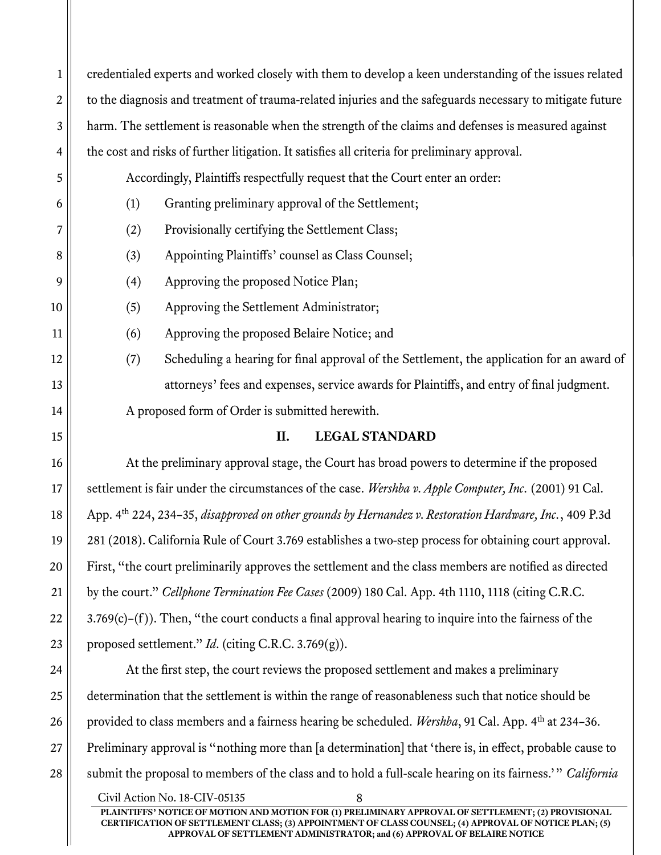1 2 3 4 5 6 7 8 9 10 11 12 13 14 15 16 17 18 19 20 21 22 23 24 25 26 credentialed experts and worked closely with them to develop a keen understanding of the issues related to the diagnosis and treatment of trauma-related injuries and the safeguards necessary to mitigate future harm. The settlement is reasonable when the strength of the claims and defenses is measured against the cost and risks of further litigation. It satisfies all criteria for preliminary approval. Accordingly, Plaintiffs respectfully request that the Court enter an order: (1) Granting preliminary approval of the Settlement; (2) Provisionally certifying the Settlement Class; (3) Appointing Plaintiffs' counsel as Class Counsel; (4) Approving the proposed Notice Plan; (5) Approving the Settlement Administrator; (6) Approving the proposed Belaire Notice; and (7) Scheduling a hearing for final approval of the Settlement, the application for an award of attorneys' fees and expenses, service awards for Plaintiffs, and entry of final judgment. A proposed form of Order is submitted herewith. II. LEGAL STANDARD At the preliminary approval stage, the Court has broad powers to determine if the proposed settlement is fair under the circumstances of the case. Wershba v. Apple Computer, Inc. (2001) 91 Cal. App. 4<sup>th</sup> 224, 234–35, *disapproved on other grounds by Hernandez v. Restoration Hardware, Inc.*, 409 P.3d 281 (2018). California Rule of Court 3.769 establishes a two-step process for obtaining court approval. First, "the court preliminarily approves the settlement and the class members are notified as directed by the court." Cellphone Termination Fee Cases (2009) 180 Cal. App. 4th 1110, 1118 (citing C.R.C. 3.769(c)–(f )). Then, "the court conducts a final approval hearing to inquire into the fairness of the proposed settlement." *Id.* (citing C.R.C. 3.769 $(g)$ ). At the first step, the court reviews the proposed settlement and makes a preliminary determination that the settlement is within the range of reasonableness such that notice should be provided to class members and a fairness hearing be scheduled. Wershba, 91 Cal. App. 4th at 234-36.

Preliminary approval is "nothing more than [a determination] that 'there is, in effect, probable cause to submit the proposal to members of the class and to hold a full-scale hearing on its fairness.'" California

27

28

Civil Action No. 18-CIV-05135 PLAINTIFFS' NOTICE OF MOTION AND MOTION FOR (1) PRELIMINARY APPROVAL OF SETTLEMENT; (2) PROVISIONAL CERTIFICATION OF SETTLEMENT CLASS; (3) APPOINTMENT OF CLASS COUNSEL; (4) APPROVAL OF NOTICE PLAN; (5) APPROVAL OF SETTLEMENT ADMINISTRATOR; and (6) APPROVAL OF BELAIRE NOTICE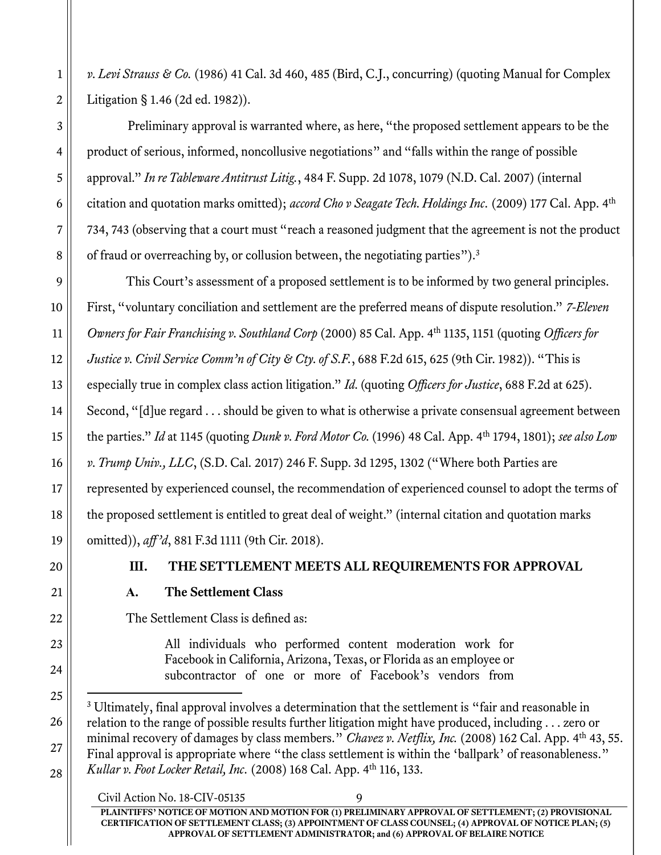v. Levi Strauss & Co. (1986) 41 Cal. 3d 460, 485 (Bird, C.J., concurring) (quoting Manual for Complex Litigation § 1.46 (2d ed. 1982)).

Preliminary approval is warranted where, as here, "the proposed settlement appears to be the product of serious, informed, noncollusive negotiations" and "falls within the range of possible approval." In re Tableware Antitrust Litig., 484 F. Supp. 2d 1078, 1079 (N.D. Cal. 2007) (internal citation and quotation marks omitted); accord Cho v Seagate Tech. Holdings Inc. (2009) 177 Cal. App. 4<sup>th</sup> 734, 743 (observing that a court must "reach a reasoned judgment that the agreement is not the product of fraud or overreaching by, or collusion between, the negotiating parties").<sup>3</sup>

This Court's assessment of a proposed settlement is to be informed by two general principles. First, "voluntary conciliation and settlement are the preferred means of dispute resolution." 7-Eleven Owners for Fair Franchising v. Southland Corp (2000) 85 Cal. App. 4<sup>th</sup> 1135, 1151 (quoting Officers for Justice v. Civil Service Comm'n of City & Cty. of S.F., 688 F.2d 615, 625 (9th Cir. 1982)). "This is especially true in complex class action litigation." Id. (quoting Officers for Justice, 688 F.2d at 625). Second, "[d]ue regard . . . should be given to what is otherwise a private consensual agreement between the parties." Id at 1145 (quoting Dunk v. Ford Motor Co. (1996) 48 Cal. App.  $4<sup>th</sup>$  1794, 1801); see also Low v. Trump Univ., LLC, (S.D. Cal. 2017) 246 F. Supp. 3d 1295, 1302 ("Where both Parties are represented by experienced counsel, the recommendation of experienced counsel to adopt the terms of the proposed settlement is entitled to great deal of weight." (internal citation and quotation marks omitted)), aff'd, 881 F.3d 1111 (9th Cir. 2018).

## III. THE SETTLEMENT MEETS ALL REQUIREMENTS FOR APPROVAL

## A. The Settlement Class

The Settlement Class is defined as:

All individuals who performed content moderation work for Facebook in California, Arizona, Texas, or Florida as an employee or subcontractor of one or more of Facebook's vendors from

<sup>&</sup>lt;sup>3</sup> Ultimately, final approval involves a determination that the settlement is "fair and reasonable in relation to the range of possible results further litigation might have produced, including . . . zero or minimal recovery of damages by class members." Chavez v. Netflix, Inc. (2008) 162 Cal. App. 4<sup>th</sup> 43, 55. Final approval is appropriate where "the class settlement is within the 'ballpark' of reasonableness." Kullar v. Foot Locker Retail, Inc. (2008) 168 Cal. App. 4th 116, 133.

Civil Action No. 18-CIV-05135 PLAINTIFFS' NOTICE OF MOTION AND MOTION FOR (1) PRELIMINARY APPROVAL OF SETTLEMENT; (2) PROVISIONAL CERTIFICATION OF SETTLEMENT CLASS; (3) APPOINTMENT OF CLASS COUNSEL; (4) APPROVAL OF NOTICE PLAN; (5) APPROVAL OF SETTLEMENT ADMINISTRATOR; and (6) APPROVAL OF BELAIRE NOTICE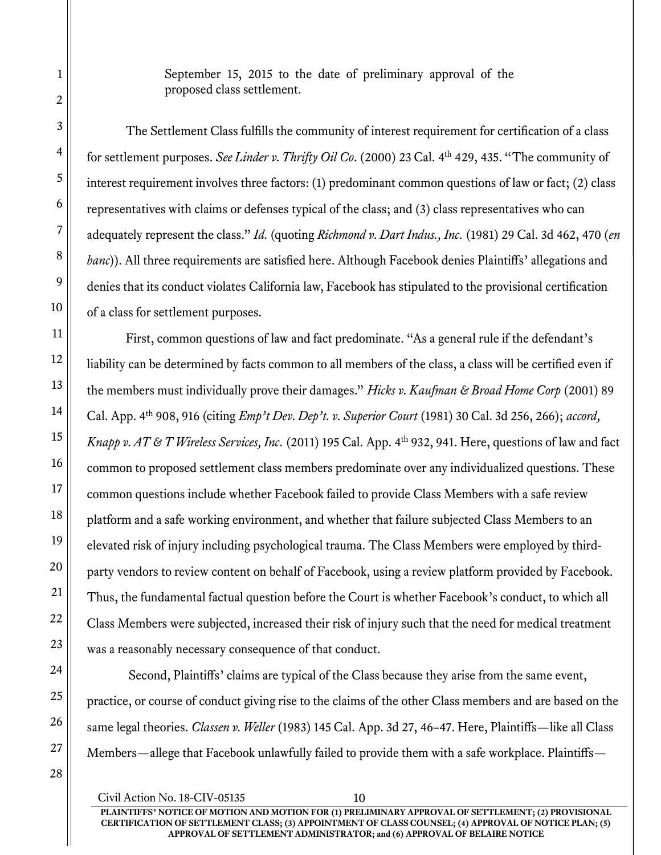September 15, 2015 to the date of preliminary approval of the proposed class settlement.

The Settlement Class fulfills the community of interest requirement for certification of a class for settlement purposes. See Linder v. Thrifty Oil Co. (2000) 23 Cal. 4<sup>th</sup> 429, 435. "The community of interest requirement involves three factors: (1) predominant common questions of law or fact; (2) class representatives with claims or defenses typical of the class; and (3) class representatives who can adequately represent the class." Id. (quoting Richmond v. Dart Indus., Inc. (1981) 29 Cal. 3d 462, 470 (en banc)). All three requirements are satisfied here. Although Facebook denies Plaintiffs' allegations and denies that its conduct violates California law, Facebook has stipulated to the provisional certification of a class for settlement purposes.

First, common questions of law and fact predominate. "As a general rule if the defendant's liability can be determined by facts common to all members of the class, a class will be certified even if the members must individually prove their damages." Hicks v. Kaufman & Broad Home Corp (2001) 89 Cal. App. 4<sup>th</sup> 908, 916 (citing *Emp't Dev. Dep't. v. Superior Court* (1981) 30 Cal. 3d 256, 266); accord, Knapp v. AT & T Wireless Services, Inc. (2011) 195 Cal. App. 4<sup>th</sup> 932, 941. Here, questions of law and fact common to proposed settlement class members predominate over any individualized questions. These common questions include whether Facebook failed to provide Class Members with a safe review platform and a safe working environment, and whether that failure subjected Class Members to an elevated risk of injury including psychological trauma. The Class Members were employed by thirdparty vendors to review content on behalf of Facebook, using a review platform provided by Facebook. Thus, the fundamental factual question before the Court is whether Facebook's conduct, to which all Class Members were subjected, increased their risk of injury such that the need for medical treatment was a reasonably necessary consequence of that conduct.

 Second, Plaintiffs' claims are typical of the Class because they arise from the same event, practice, or course of conduct giving rise to the claims of the other Class members and are based on the same legal theories. Classen v. Weller (1983) 145 Cal. App. 3d 27, 46-47. Here, Plaintiffs—like all Class Members—allege that Facebook unlawfully failed to provide them with a safe workplace. Plaintiffs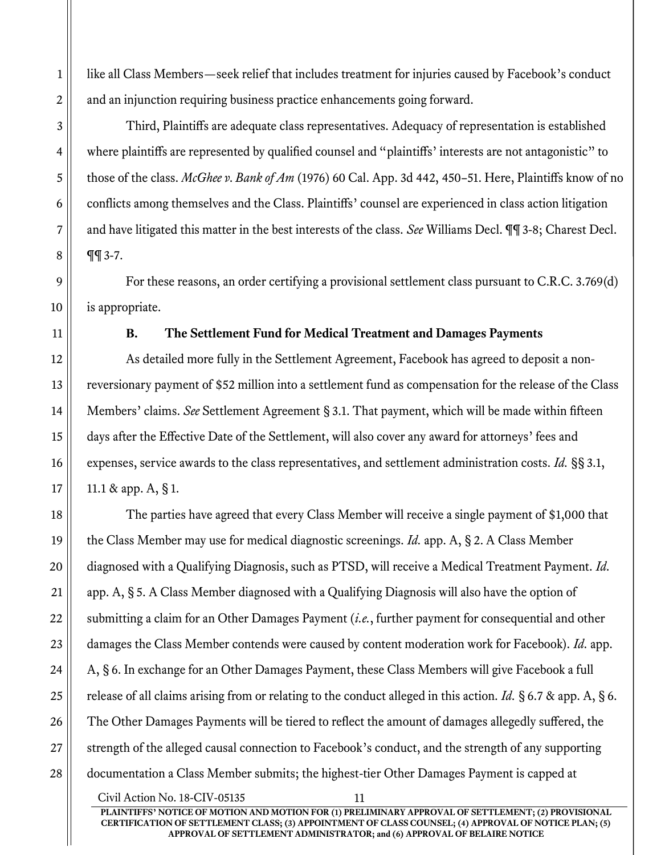like all Class Members—seek relief that includes treatment for injuries caused by Facebook's conduct and an injunction requiring business practice enhancements going forward.

Third, Plaintiffs are adequate class representatives. Adequacy of representation is established where plaintiffs are represented by qualified counsel and "plaintiffs' interests are not antagonistic" to those of the class. McGhee v. Bank of Am (1976) 60 Cal. App. 3d 442, 450–51. Here, Plaintiffs know of no conflicts among themselves and the Class. Plaintiffs' counsel are experienced in class action litigation and have litigated this matter in the best interests of the class. See Williams Decl.  $\P\P$ 3-8; Charest Decl. ¶¶ 3-7.

For these reasons, an order certifying a provisional settlement class pursuant to C.R.C. 3.769(d) is appropriate.

#### B. The Settlement Fund for Medical Treatment and Damages Payments

As detailed more fully in the Settlement Agreement, Facebook has agreed to deposit a nonreversionary payment of \$52 million into a settlement fund as compensation for the release of the Class Members' claims. See Settlement Agreement § 3.1. That payment, which will be made within fifteen days after the Effective Date of the Settlement, will also cover any award for attorneys' fees and expenses, service awards to the class representatives, and settlement administration costs. Id. §§ 3.1, 11.1 & app. A, § 1.

The parties have agreed that every Class Member will receive a single payment of \$1,000 that the Class Member may use for medical diagnostic screenings. *Id.* app. A, § 2. A Class Member diagnosed with a Qualifying Diagnosis, such as PTSD, will receive a Medical Treatment Payment. Id. app. A, § 5. A Class Member diagnosed with a Qualifying Diagnosis will also have the option of submitting a claim for an Other Damages Payment (*i.e.*, further payment for consequential and other damages the Class Member contends were caused by content moderation work for Facebook). Id. app. A, § 6. In exchange for an Other Damages Payment, these Class Members will give Facebook a full release of all claims arising from or relating to the conduct alleged in this action. Id. § 6.7 & app. A, § 6. The Other Damages Payments will be tiered to reflect the amount of damages allegedly suffered, the strength of the alleged causal connection to Facebook's conduct, and the strength of any supporting documentation a Class Member submits; the highest-tier Other Damages Payment is capped at

Civil Action No. 18-CIV-05135 11 PLAINTIFFS' NOTICE OF MOTION AND MOTION FOR (1) PRELIMINARY APPROVAL OF SETTLEMENT; (2) PROVISIONAL CERTIFICATION OF SETTLEMENT CLASS; (3) APPOINTMENT OF CLASS COUNSEL; (4) APPROVAL OF NOTICE PLAN; (5) APPROVAL OF SETTLEMENT ADMINISTRATOR; and (6) APPROVAL OF BELAIRE NOTICE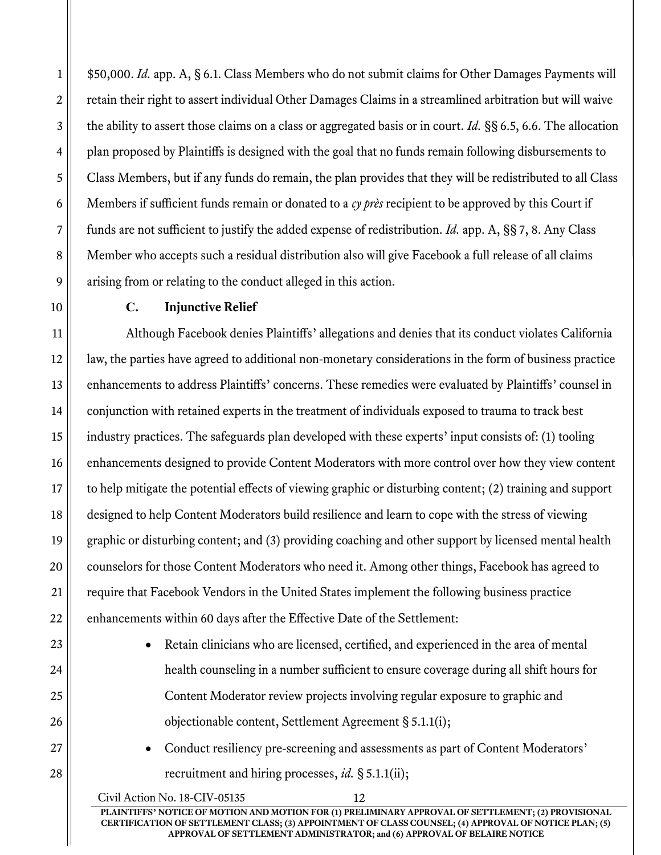\$50,000. Id. app. A, § 6.1. Class Members who do not submit claims for Other Damages Payments will retain their right to assert individual Other Damages Claims in a streamlined arbitration but will waive the ability to assert those claims on a class or aggregated basis or in court. Id. §§ 6.5, 6.6. The allocation plan proposed by Plaintiffs is designed with the goal that no funds remain following disbursements to Class Members, but if any funds do remain, the plan provides that they will be redistributed to all Class Members if sufficient funds remain or donated to a cy près recipient to be approved by this Court if funds are not sufficient to justify the added expense of redistribution. Id. app. A, §§ 7, 8. Any Class Member who accepts such a residual distribution also will give Facebook a full release of all claims arising from or relating to the conduct alleged in this action.

### C. Injunctive Relief

Although Facebook denies Plaintiffs' allegations and denies that its conduct violates California law, the parties have agreed to additional non-monetary considerations in the form of business practice enhancements to address Plaintiffs' concerns. These remedies were evaluated by Plaintiffs' counsel in conjunction with retained experts in the treatment of individuals exposed to trauma to track best industry practices. The safeguards plan developed with these experts' input consists of: (1) tooling enhancements designed to provide Content Moderators with more control over how they view content to help mitigate the potential effects of viewing graphic or disturbing content; (2) training and support designed to help Content Moderators build resilience and learn to cope with the stress of viewing graphic or disturbing content; and (3) providing coaching and other support by licensed mental health counselors for those Content Moderators who need it. Among other things, Facebook has agreed to require that Facebook Vendors in the United States implement the following business practice enhancements within 60 days after the Effective Date of the Settlement:

- Retain clinicians who are licensed, certified, and experienced in the area of mental health counseling in a number sufficient to ensure coverage during all shift hours for Content Moderator review projects involving regular exposure to graphic and objectionable content, Settlement Agreement § 5.1.1(i);
- Conduct resiliency pre-screening and assessments as part of Content Moderators' recruitment and hiring processes, id.  $\S 5.1.1(ii)$ ;

Civil Action No. 18-CIV-05135 12 PLAINTIFFS' NOTICE OF MOTION AND MOTION FOR (1) PRELIMINARY APPROVAL OF SETTLEMENT; (2) PROVISIONAL CERTIFICATION OF SETTLEMENT CLASS; (3) APPOINTMENT OF CLASS COUNSEL; (4) APPROVAL OF NOTICE PLAN; (5) APPROVAL OF SETTLEMENT ADMINISTRATOR; and (6) APPROVAL OF BELAIRE NOTICE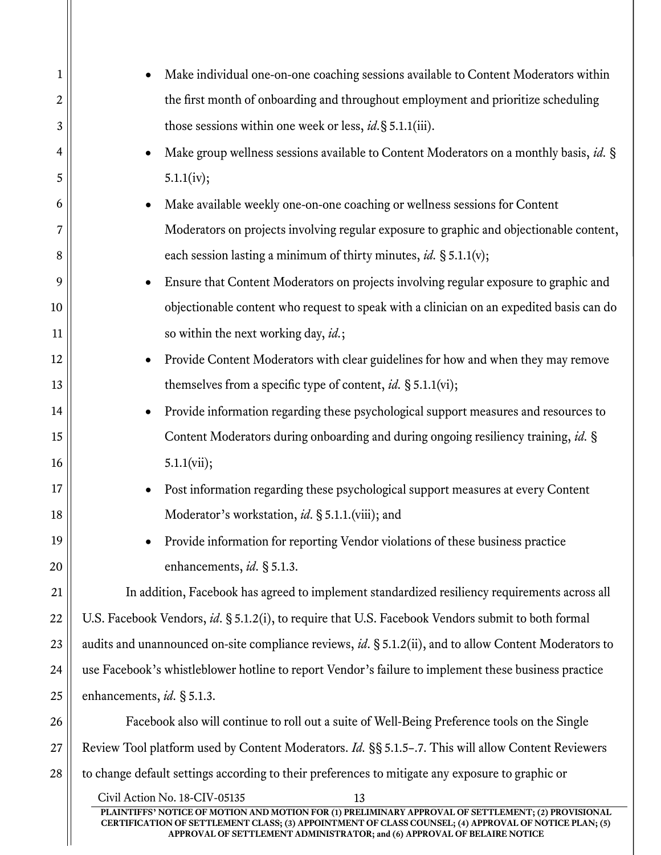| $\mathbf 1$ | Make individual one-on-one coaching sessions available to Content Moderators within<br>$\bullet$                                                                                                             |  |  |
|-------------|--------------------------------------------------------------------------------------------------------------------------------------------------------------------------------------------------------------|--|--|
| 2           | the first month of onboarding and throughout employment and prioritize scheduling                                                                                                                            |  |  |
| 3           | those sessions within one week or less, <i>id</i> . § 5.1.1(iii).                                                                                                                                            |  |  |
| 4           | Make group wellness sessions available to Content Moderators on a monthly basis, id. §<br>$\bullet$                                                                                                          |  |  |
| 5           | 5.1.1(iv);                                                                                                                                                                                                   |  |  |
| 6           | Make available weekly one-on-one coaching or wellness sessions for Content<br>$\bullet$                                                                                                                      |  |  |
| 7           | Moderators on projects involving regular exposure to graphic and objectionable content,                                                                                                                      |  |  |
| 8           | each session lasting a minimum of thirty minutes, id. § 5.1.1(v);                                                                                                                                            |  |  |
| 9           | Ensure that Content Moderators on projects involving regular exposure to graphic and<br>$\bullet$                                                                                                            |  |  |
| 10          | objectionable content who request to speak with a clinician on an expedited basis can do                                                                                                                     |  |  |
| 11          | so within the next working day, id.;                                                                                                                                                                         |  |  |
| 12          | Provide Content Moderators with clear guidelines for how and when they may remove<br>$\bullet$                                                                                                               |  |  |
| 13          | themselves from a specific type of content, id. $\S 5.1.1$ (vi);                                                                                                                                             |  |  |
| 14          | Provide information regarding these psychological support measures and resources to<br>$\bullet$                                                                                                             |  |  |
| 15          | Content Moderators during onboarding and during ongoing resiliency training, id. §                                                                                                                           |  |  |
| 16          | 5.1.1(vii);                                                                                                                                                                                                  |  |  |
| 17          | Post information regarding these psychological support measures at every Content<br>$\bullet$                                                                                                                |  |  |
| 18          | Moderator's workstation, id. § 5.1.1.(viii); and                                                                                                                                                             |  |  |
| 19          | Provide information for reporting Vendor violations of these business practice                                                                                                                               |  |  |
| 20          | enhancements, id. § 5.1.3.                                                                                                                                                                                   |  |  |
| 21          | In addition, Facebook has agreed to implement standardized resiliency requirements across all                                                                                                                |  |  |
| 22          | U.S. Facebook Vendors, id. § 5.1.2(i), to require that U.S. Facebook Vendors submit to both formal                                                                                                           |  |  |
| 23          | audits and unannounced on-site compliance reviews, id. § 5.1.2(ii), and to allow Content Moderators to                                                                                                       |  |  |
| 24          | use Facebook's whistleblower hotline to report Vendor's failure to implement these business practice                                                                                                         |  |  |
| 25          | enhancements, id. § 5.1.3.                                                                                                                                                                                   |  |  |
| 26          | Facebook also will continue to roll out a suite of Well-Being Preference tools on the Single                                                                                                                 |  |  |
| 27          | Review Tool platform used by Content Moderators. Id. §§ 5.1.5-.7. This will allow Content Reviewers                                                                                                          |  |  |
| 28          | to change default settings according to their preferences to mitigate any exposure to graphic or                                                                                                             |  |  |
|             | Civil Action No. 18-CIV-05135<br>13                                                                                                                                                                          |  |  |
|             | PLAINTIFFS' NOTICE OF MOTION AND MOTION FOR (1) PRELIMINARY APPROVAL OF SETTLEMENT; (2) PROVISIONAL<br>CERTIFICATION OF SETTLEMENT CLASS; (3) APPOINTMENT OF CLASS COUNSEL; (4) APPROVAL OF NOTICE PLAN; (5) |  |  |
|             | APPROVAL OF SETTLEMENT ADMINISTRATOR; and (6) APPROVAL OF BELAIRE NOTICE                                                                                                                                     |  |  |
|             |                                                                                                                                                                                                              |  |  |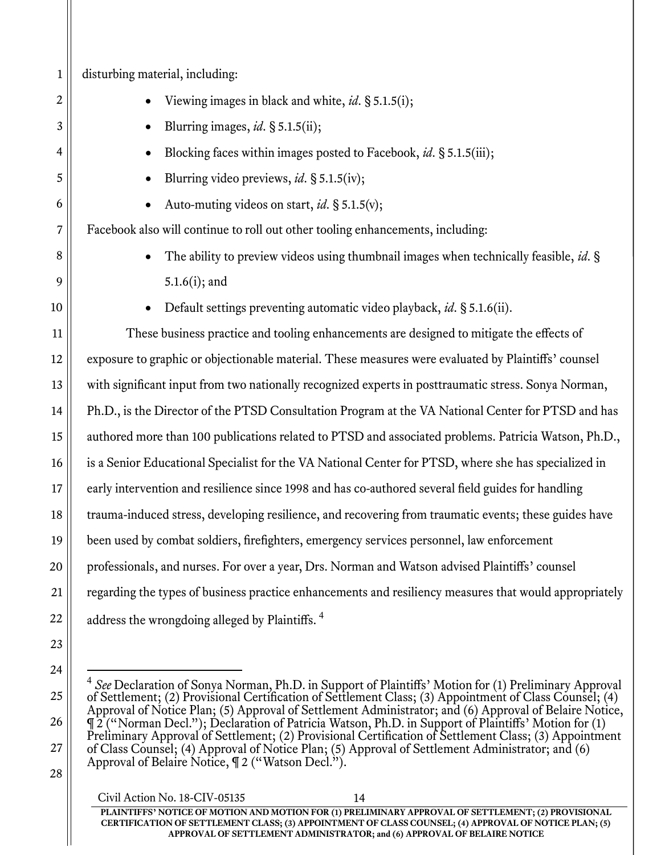| $\mathbf 1$ | disturbing material, including:                                                                                                                                                                                           |  |
|-------------|---------------------------------------------------------------------------------------------------------------------------------------------------------------------------------------------------------------------------|--|
| 2           | Viewing images in black and white, id. § 5.1.5(i);                                                                                                                                                                        |  |
| 3           | Blurring images, id. $\S 5.1.5$ (ii);                                                                                                                                                                                     |  |
| 4           | Blocking faces within images posted to Facebook, id. § 5.1.5(iii);                                                                                                                                                        |  |
| 5           | Blurring video previews, id. § 5.1.5(iv);                                                                                                                                                                                 |  |
| 6           | Auto-muting videos on start, id. § 5.1.5(v);                                                                                                                                                                              |  |
| 7           | Facebook also will continue to roll out other tooling enhancements, including:                                                                                                                                            |  |
| 8           | The ability to preview videos using thumbnail images when technically feasible, id. §                                                                                                                                     |  |
| 9           | $5.1.6(i)$ ; and                                                                                                                                                                                                          |  |
| 10          | Default settings preventing automatic video playback, id. § 5.1.6(ii).                                                                                                                                                    |  |
| 11          | These business practice and tooling enhancements are designed to mitigate the effects of                                                                                                                                  |  |
| 12          | exposure to graphic or objectionable material. These measures were evaluated by Plaintiffs' counsel                                                                                                                       |  |
| 13          | with significant input from two nationally recognized experts in posttraumatic stress. Sonya Norman,                                                                                                                      |  |
| 14          | Ph.D., is the Director of the PTSD Consultation Program at the VA National Center for PTSD and has                                                                                                                        |  |
| 15          | authored more than 100 publications related to PTSD and associated problems. Patricia Watson, Ph.D.,                                                                                                                      |  |
| 16          | is a Senior Educational Specialist for the VA National Center for PTSD, where she has specialized in                                                                                                                      |  |
| 17          | early intervention and resilience since 1998 and has co-authored several field guides for handling                                                                                                                        |  |
| 18          | trauma-induced stress, developing resilience, and recovering from traumatic events; these guides have                                                                                                                     |  |
| 19          | been used by combat soldiers, firefighters, emergency services personnel, law enforcement                                                                                                                                 |  |
| 20          | professionals, and nurses. For over a year, Drs. Norman and Watson advised Plaintiffs' counsel                                                                                                                            |  |
| 21          | regarding the types of business practice enhancements and resiliency measures that would appropriately                                                                                                                    |  |
| 22          | address the wrongdoing alleged by Plaintiffs. <sup>4</sup>                                                                                                                                                                |  |
| 23          |                                                                                                                                                                                                                           |  |
| 24          |                                                                                                                                                                                                                           |  |
| 25          | <sup>4</sup> See Declaration of Sonya Norman, Ph.D. in Support of Plaintiffs' Motion for (1) Preliminary Approval of Settlement: (2) Provisional Certification of Settlement Class: (3) Appointment of Class Counsel: (4) |  |

of Settlement; (2) Provisional Certification of Settlement Class; (3) Appointment of Class Counsel; (4) Approval of Notice Plan; (5) Approval of Settlement Administrator; and (6) Approval of Belaire Notice, ¶ 2 ("Norman Decl."); Declaration of Patricia Watson, Ph.D. in Support of Plaintiffs' Motion for (1) Preliminary Approval of Settlement; (2) Provisional Certification of Settlement Class; (3) Appointment of Class Counsel; (4) Approval of Notice Plan; (5) Approval of Settlement Administrator; and (6) Approval of Belaire Notice,  $\P$  2 ("Watson Decl.").

28

26

27

Civil Action No. 18-CIV-05135 14 PLAINTIFFS' NOTICE OF MOTION AND MOTION FOR (1) PRELIMINARY APPROVAL OF SETTLEMENT; (2) PROVISIONAL CERTIFICATION OF SETTLEMENT CLASS; (3) APPOINTMENT OF CLASS COUNSEL; (4) APPROVAL OF NOTICE PLAN; (5) APPROVAL OF SETTLEMENT ADMINISTRATOR; and (6) APPROVAL OF BELAIRE NOTICE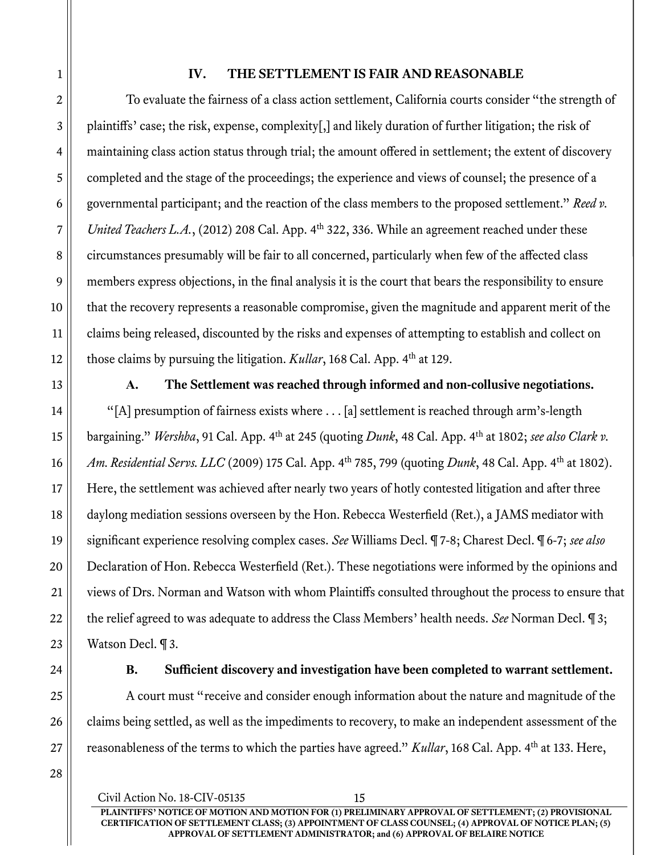### IV. THE SETTLEMENT IS FAIR AND REASONABLE

To evaluate the fairness of a class action settlement, California courts consider "the strength of plaintiffs' case; the risk, expense, complexity[,] and likely duration of further litigation; the risk of maintaining class action status through trial; the amount offered in settlement; the extent of discovery completed and the stage of the proceedings; the experience and views of counsel; the presence of a governmental participant; and the reaction of the class members to the proposed settlement." Reed v. United Teachers L.A., (2012) 208 Cal. App.  $4<sup>th</sup>$  322, 336. While an agreement reached under these circumstances presumably will be fair to all concerned, particularly when few of the affected class members express objections, in the final analysis it is the court that bears the responsibility to ensure that the recovery represents a reasonable compromise, given the magnitude and apparent merit of the claims being released, discounted by the risks and expenses of attempting to establish and collect on those claims by pursuing the litigation.  $Kullar$ , 168 Cal. App.  $4<sup>th</sup>$  at 129.

A. The Settlement was reached through informed and non-collusive negotiations. "[A] presumption of fairness exists where . . . [a] settlement is reached through arm's-length bargaining." Wershba, 91 Cal. App. 4<sup>th</sup> at 245 (quoting *Dunk*, 48 Cal. App. 4<sup>th</sup> at 1802; see also Clark v. Am. Residential Servs. LLC (2009) 175 Cal. App. 4<sup>th</sup> 785, 799 (quoting *Dunk*, 48 Cal. App. 4<sup>th</sup> at 1802). Here, the settlement was achieved after nearly two years of hotly contested litigation and after three daylong mediation sessions overseen by the Hon. Rebecca Westerfield (Ret.), a JAMS mediator with significant experience resolving complex cases. See Williams Decl. ¶ 7-8; Charest Decl. ¶ 6-7; see also Declaration of Hon. Rebecca Westerfield (Ret.). These negotiations were informed by the opinions and views of Drs. Norman and Watson with whom Plaintiffs consulted throughout the process to ensure that the relief agreed to was adequate to address the Class Members' health needs. See Norman Decl. ¶ 3; Watson Decl. ¶ 3.

B. Sufficient discovery and investigation have been completed to warrant settlement.

A court must "receive and consider enough information about the nature and magnitude of the claims being settled, as well as the impediments to recovery, to make an independent assessment of the reasonableness of the terms to which the parties have agreed." Kullar, 168 Cal. App. 4<sup>th</sup> at 133. Here,

1

2

3

4

5

6

7

8

9

10

11

12

13

14

15

16

17

18

19

20

21

22

23

24

25

26

27

Civil Action No. 18-CIV-05135 15 PLAINTIFFS' NOTICE OF MOTION AND MOTION FOR (1) PRELIMINARY APPROVAL OF SETTLEMENT; (2) PROVISIONAL CERTIFICATION OF SETTLEMENT CLASS; (3) APPOINTMENT OF CLASS COUNSEL; (4) APPROVAL OF NOTICE PLAN; (5) APPROVAL OF SETTLEMENT ADMINISTRATOR; and (6) APPROVAL OF BELAIRE NOTICE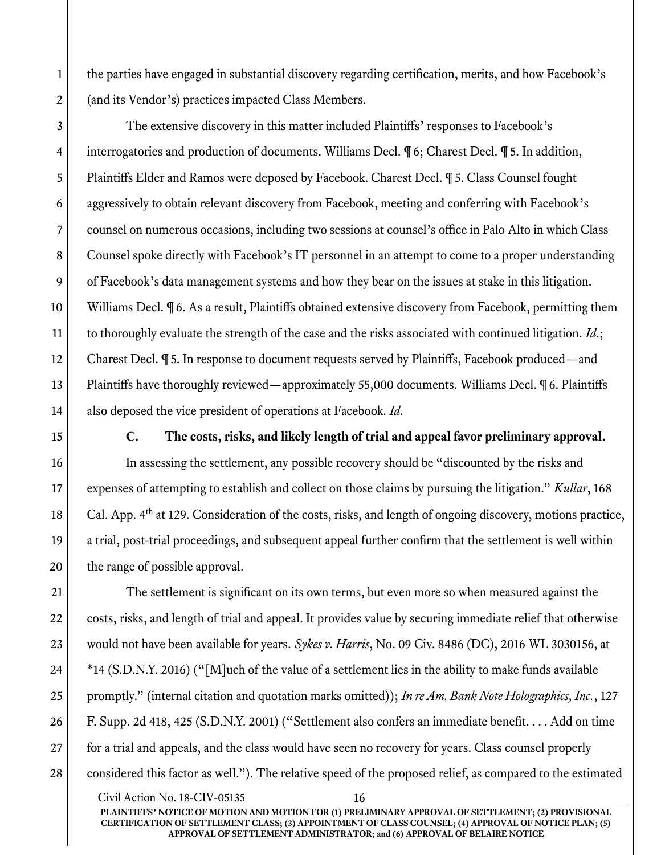the parties have engaged in substantial discovery regarding certification, merits, and how Facebook's (and its Vendor's) practices impacted Class Members.

The extensive discovery in this matter included Plaintiffs' responses to Facebook's interrogatories and production of documents. Williams Decl. ¶ 6; Charest Decl. ¶ 5. In addition, Plaintiffs Elder and Ramos were deposed by Facebook. Charest Decl. ¶ 5. Class Counsel fought aggressively to obtain relevant discovery from Facebook, meeting and conferring with Facebook's counsel on numerous occasions, including two sessions at counsel's office in Palo Alto in which Class Counsel spoke directly with Facebook's IT personnel in an attempt to come to a proper understanding of Facebook's data management systems and how they bear on the issues at stake in this litigation. Williams Decl. ¶ 6. As a result, Plaintiffs obtained extensive discovery from Facebook, permitting them to thoroughly evaluate the strength of the case and the risks associated with continued litigation. Id.; Charest Decl. ¶ 5. In response to document requests served by Plaintiffs, Facebook produced—and Plaintiffs have thoroughly reviewed—approximately 55,000 documents. Williams Decl. ¶ 6. Plaintiffs also deposed the vice president of operations at Facebook. Id.

C. The costs, risks, and likely length of trial and appeal favor preliminary approval.

In assessing the settlement, any possible recovery should be "discounted by the risks and expenses of attempting to establish and collect on those claims by pursuing the litigation." Kullar, 168 Cal. App. 4<sup>th</sup> at 129. Consideration of the costs, risks, and length of ongoing discovery, motions practice, a trial, post-trial proceedings, and subsequent appeal further confirm that the settlement is well within the range of possible approval.

The settlement is significant on its own terms, but even more so when measured against the costs, risks, and length of trial and appeal. It provides value by securing immediate relief that otherwise would not have been available for years. Sykes v. Harris, No. 09 Civ. 8486 (DC), 2016 WL 3030156, at \*14 (S.D.N.Y. 2016) ("[M]uch of the value of a settlement lies in the ability to make funds available promptly." (internal citation and quotation marks omitted)); In re Am. Bank Note Holographics, Inc., 127 F. Supp. 2d 418, 425 (S.D.N.Y. 2001) ("Settlement also confers an immediate benefit. . . . Add on time for a trial and appeals, and the class would have seen no recovery for years. Class counsel properly considered this factor as well."). The relative speed of the proposed relief, as compared to the estimated

Civil Action No. 18-CIV-05135 16 PLAINTIFFS' NOTICE OF MOTION AND MOTION FOR (1) PRELIMINARY APPROVAL OF SETTLEMENT; (2) PROVISIONAL CERTIFICATION OF SETTLEMENT CLASS; (3) APPOINTMENT OF CLASS COUNSEL; (4) APPROVAL OF NOTICE PLAN; (5) APPROVAL OF SETTLEMENT ADMINISTRATOR; and (6) APPROVAL OF BELAIRE NOTICE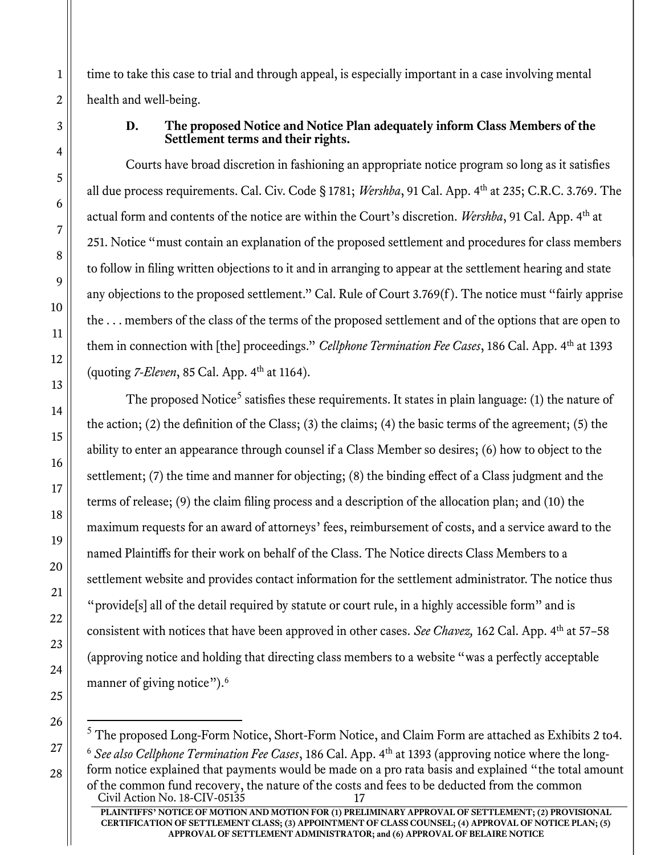time to take this case to trial and through appeal, is especially important in a case involving mental health and well-being.

#### D. The proposed Notice and Notice Plan adequately inform Class Members of the Settlement terms and their rights.

Courts have broad discretion in fashioning an appropriate notice program so long as it satisfies all due process requirements. Cal. Civ. Code § 1781; Wershba, 91 Cal. App. 4<sup>th</sup> at 235; C.R.C. 3.769. The actual form and contents of the notice are within the Court's discretion. Wershba, 91 Cal. App. 4<sup>th</sup> at 251. Notice "must contain an explanation of the proposed settlement and procedures for class members to follow in filing written objections to it and in arranging to appear at the settlement hearing and state any objections to the proposed settlement." Cal. Rule of Court 3.769(f ). The notice must "fairly apprise the . . . members of the class of the terms of the proposed settlement and of the options that are open to them in connection with [the] proceedings." Cellphone Termination Fee Cases, 186 Cal. App. 4<sup>th</sup> at 1393 (quoting  $7$ -Eleven, 85 Cal. App.  $4<sup>th</sup>$  at 1164).

The proposed Notice<sup>5</sup> satisfies these requirements. It states in plain language: (1) the nature of the action; (2) the definition of the Class; (3) the claims; (4) the basic terms of the agreement; (5) the ability to enter an appearance through counsel if a Class Member so desires; (6) how to object to the settlement; (7) the time and manner for objecting; (8) the binding effect of a Class judgment and the terms of release; (9) the claim filing process and a description of the allocation plan; and (10) the maximum requests for an award of attorneys' fees, reimbursement of costs, and a service award to the named Plaintiffs for their work on behalf of the Class. The Notice directs Class Members to a settlement website and provides contact information for the settlement administrator. The notice thus "provide<sup>[s]</sup> all of the detail required by statute or court rule, in a highly accessible form" and is consistent with notices that have been approved in other cases. See Chavez, 162 Cal. App. 4<sup>th</sup> at 57–58 (approving notice and holding that directing class members to a website "was a perfectly acceptable manner of giving notice").<sup>6</sup>

CERTIFICATION OF SETTLEMENT CLASS; (3) APPOINTMENT OF CLASS COUNSEL; (4) APPROVAL OF NOTICE PLAN; (5) APPROVAL OF SETTLEMENT ADMINISTRATOR; and (6) APPROVAL OF BELAIRE NOTICE

Civil Action No.  $18$ -CIV-05135 PLAINTIFFS' NOTICE OF MOTION AND MOTION FOR (1) PRELIMINARY APPROVAL OF SETTLEMENT; (2) PROVISIONAL  $5$  The proposed Long-Form Notice, Short-Form Notice, and Claim Form are attached as Exhibits 2 to4.  $6$  See also Cellphone Termination Fee Cases, 186 Cal. App.  $4<sup>th</sup>$  at 1393 (approving notice where the longform notice explained that payments would be made on a pro rata basis and explained "the total amount of the common fund recovery, the nature of the costs and fees to be deducted from the common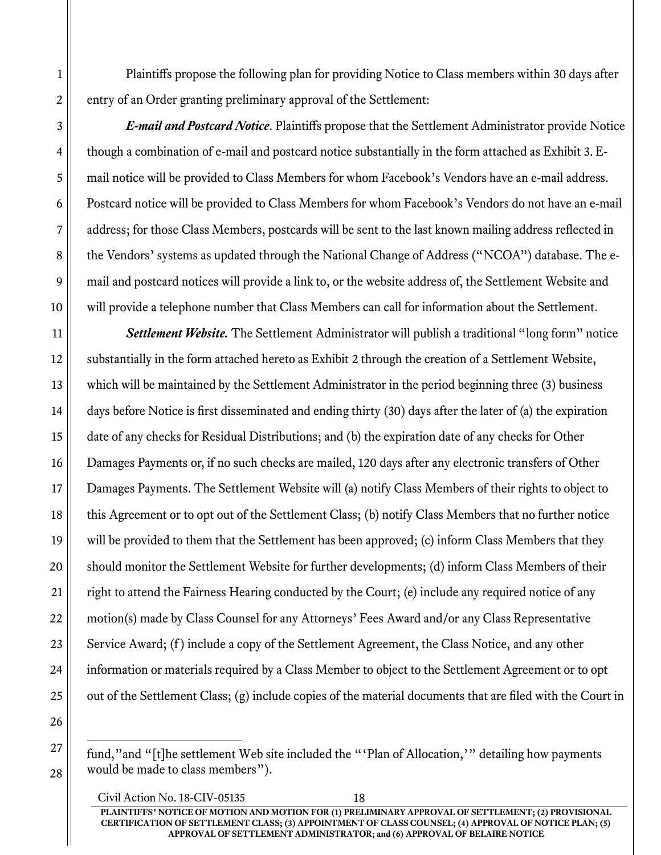Plaintiffs propose the following plan for providing Notice to Class members within 30 days after entry of an Order granting preliminary approval of the Settlement:

E-mail and Postcard Notice. Plaintiffs propose that the Settlement Administrator provide Notice though a combination of e-mail and postcard notice substantially in the form attached as Exhibit 3. Email notice will be provided to Class Members for whom Facebook's Vendors have an e-mail address. Postcard notice will be provided to Class Members for whom Facebook's Vendors do not have an e-mail address; for those Class Members, postcards will be sent to the last known mailing address reflected in the Vendors' systems as updated through the National Change of Address ("NCOA") database. The email and postcard notices will provide a link to, or the website address of, the Settlement Website and will provide a telephone number that Class Members can call for information about the Settlement.

Settlement Website. The Settlement Administrator will publish a traditional "long form" notice substantially in the form attached hereto as Exhibit 2 through the creation of a Settlement Website, which will be maintained by the Settlement Administrator in the period beginning three (3) business days before Notice is first disseminated and ending thirty (30) days after the later of (a) the expiration date of any checks for Residual Distributions; and (b) the expiration date of any checks for Other Damages Payments or, if no such checks are mailed, 120 days after any electronic transfers of Other Damages Payments. The Settlement Website will (a) notify Class Members of their rights to object to this Agreement or to opt out of the Settlement Class; (b) notify Class Members that no further notice will be provided to them that the Settlement has been approved; (c) inform Class Members that they should monitor the Settlement Website for further developments; (d) inform Class Members of their right to attend the Fairness Hearing conducted by the Court; (e) include any required notice of any motion(s) made by Class Counsel for any Attorneys' Fees Award and/or any Class Representative Service Award; (f) include a copy of the Settlement Agreement, the Class Notice, and any other information or materials required by a Class Member to object to the Settlement Agreement or to opt out of the Settlement Class; (g) include copies of the material documents that are filed with the Court in

fund,"and "[t]he settlement Web site included the "'Plan of Allocation,'" detailing how payments would be made to class members").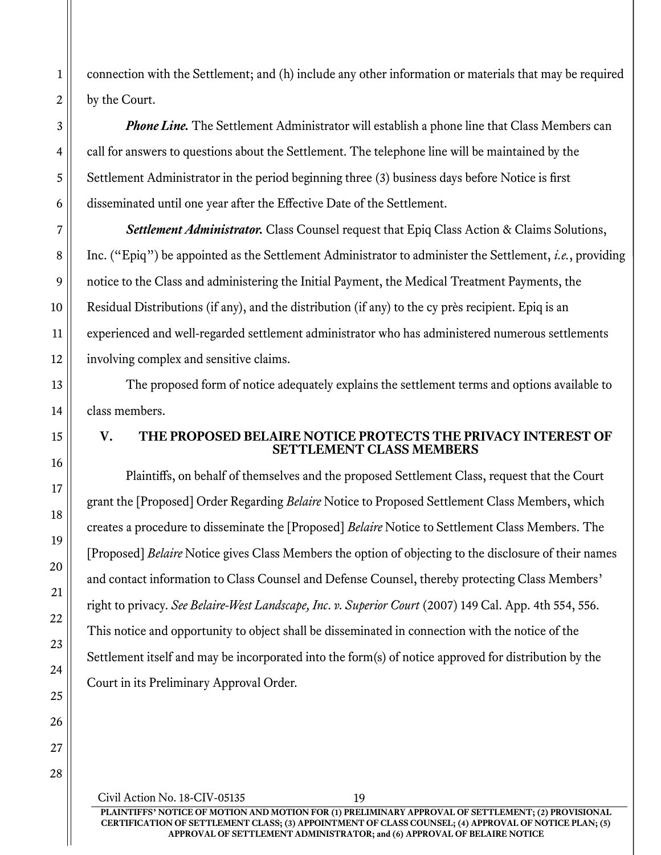connection with the Settlement; and (h) include any other information or materials that may be required by the Court.

**Phone Line.** The Settlement Administrator will establish a phone line that Class Members can call for answers to questions about the Settlement. The telephone line will be maintained by the Settlement Administrator in the period beginning three (3) business days before Notice is first disseminated until one year after the Effective Date of the Settlement.

Settlement Administrator. Class Counsel request that Epiq Class Action & Claims Solutions, Inc. ("Epiq") be appointed as the Settlement Administrator to administer the Settlement, *i.e.*, providing notice to the Class and administering the Initial Payment, the Medical Treatment Payments, the Residual Distributions (if any), and the distribution (if any) to the cy près recipient. Epiq is an experienced and well-regarded settlement administrator who has administered numerous settlements involving complex and sensitive claims.

The proposed form of notice adequately explains the settlement terms and options available to class members.

#### V. THE PROPOSED BELAIRE NOTICE PROTECTS THE PRIVACY INTEREST OF SETTLEMENT CLASS MEMBERS

Plaintiffs, on behalf of themselves and the proposed Settlement Class, request that the Court grant the [Proposed] Order Regarding *Belaire* Notice to Proposed Settlement Class Members, which creates a procedure to disseminate the [Proposed] Belaire Notice to Settlement Class Members. The [Proposed] Belaire Notice gives Class Members the option of objecting to the disclosure of their names and contact information to Class Counsel and Defense Counsel, thereby protecting Class Members' right to privacy. See Belaire-West Landscape, Inc. v. Superior Court (2007) 149 Cal. App. 4th 554, 556. This notice and opportunity to object shall be disseminated in connection with the notice of the Settlement itself and may be incorporated into the form(s) of notice approved for distribution by the Court in its Preliminary Approval Order.

1

2

Civil Action No. 18-CIV-05135 19 PLAINTIFFS' NOTICE OF MOTION AND MOTION FOR (1) PRELIMINARY APPROVAL OF SETTLEMENT; (2) PROVISIONAL CERTIFICATION OF SETTLEMENT CLASS; (3) APPOINTMENT OF CLASS COUNSEL; (4) APPROVAL OF NOTICE PLAN; (5) APPROVAL OF SETTLEMENT ADMINISTRATOR; and (6) APPROVAL OF BELAIRE NOTICE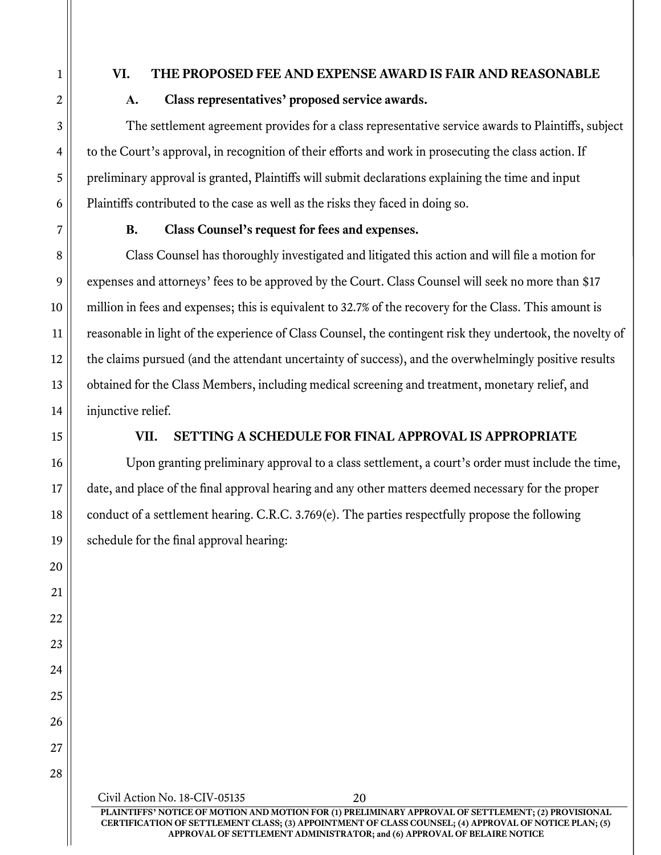## VI. THE PROPOSED FEE AND EXPENSE AWARD IS FAIR AND REASONABLE

# A. Class representatives' proposed service awards.

The settlement agreement provides for a class representative service awards to Plaintiffs, subject to the Court's approval, in recognition of their efforts and work in prosecuting the class action. If preliminary approval is granted, Plaintiffs will submit declarations explaining the time and input Plaintiffs contributed to the case as well as the risks they faced in doing so.

## B. Class Counsel's request for fees and expenses.

Class Counsel has thoroughly investigated and litigated this action and will file a motion for expenses and attorneys' fees to be approved by the Court. Class Counsel will seek no more than \$17 million in fees and expenses; this is equivalent to 32.7% of the recovery for the Class. This amount is reasonable in light of the experience of Class Counsel, the contingent risk they undertook, the novelty of the claims pursued (and the attendant uncertainty of success), and the overwhelmingly positive results obtained for the Class Members, including medical screening and treatment, monetary relief, and injunctive relief.

# VII. SETTING A SCHEDULE FOR FINAL APPROVAL IS APPROPRIATE

Upon granting preliminary approval to a class settlement, a court's order must include the time, date, and place of the final approval hearing and any other matters deemed necessary for the proper conduct of a settlement hearing. C.R.C. 3.769(e). The parties respectfully propose the following schedule for the final approval hearing:

Civil Action No. 18-CIV-05135 20 PLAINTIFFS' NOTICE OF MOTION AND MOTION FOR (1) PRELIMINARY APPROVAL OF SETTLEMENT; (2) PROVISIONAL CERTIFICATION OF SETTLEMENT CLASS; (3) APPOINTMENT OF CLASS COUNSEL; (4) APPROVAL OF NOTICE PLAN; (5) APPROVAL OF SETTLEMENT ADMINISTRATOR; and (6) APPROVAL OF BELAIRE NOTICE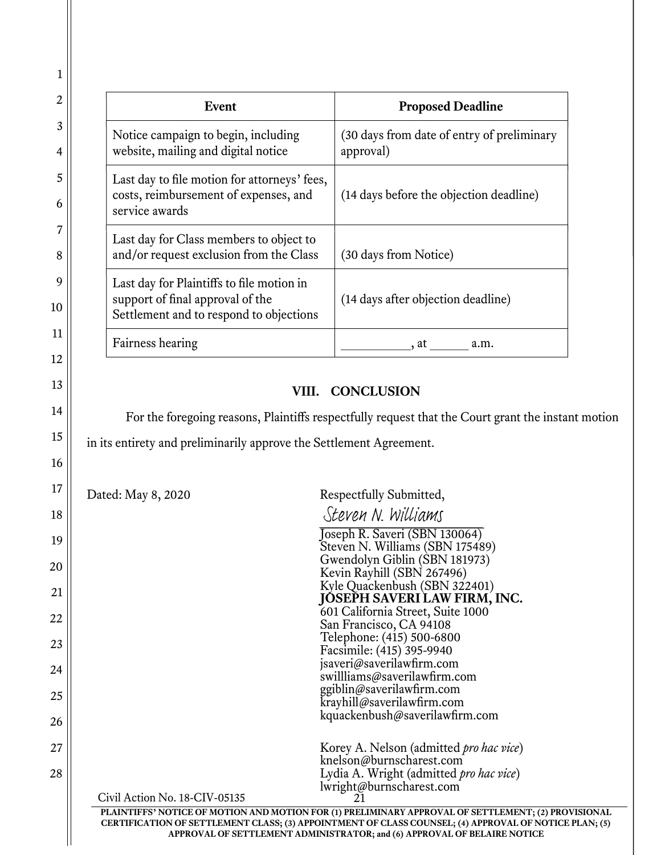| Event                                                                                                                    | <b>Proposed Deadline</b>                                |
|--------------------------------------------------------------------------------------------------------------------------|---------------------------------------------------------|
| Notice campaign to begin, including<br>website, mailing and digital notice                                               | (30 days from date of entry of preliminary<br>approval) |
| Last day to file motion for attorneys' fees,<br>costs, reimbursement of expenses, and<br>service awards                  | (14 days before the objection deadline)                 |
| Last day for Class members to object to<br>and/or request exclusion from the Class                                       | (30 days from Notice)                                   |
| Last day for Plaintiffs to file motion in<br>support of final approval of the<br>Settlement and to respond to objections | (14 days after objection deadline)                      |
| Fairness hearing                                                                                                         | . at<br>a.m.                                            |

# VIII. CONCLUSION

For the foregoing reasons, Plaintiffs respectfully request that the Court grant the instant motion

in its entirety and preliminarily approve the Settlement Agreement.

Dated: May 8, 2020 Respectfully Submitted,

|                               | Steven N. Williams                                                                                    |
|-------------------------------|-------------------------------------------------------------------------------------------------------|
|                               | Joseph R. Saveri (SBN 130064)                                                                         |
|                               | Steven N. Williams (SBN 175489)                                                                       |
|                               | Gwendolyn Giblin (SBN 181973)                                                                         |
|                               | Kevin Rayhill (SBN 267496)                                                                            |
|                               | Kyle Quackenbush (SBN 322401)                                                                         |
|                               | JOSEPH SAVERI LAW FIRM, INC.                                                                          |
|                               | 601 California Street, Suite 1000                                                                     |
|                               | San Francisco, CA 94108                                                                               |
|                               | Telephone: (415) 500-6800                                                                             |
|                               | Facsimile: (415) 395-9940                                                                             |
|                               | jsaveri@saverilawfirm.com                                                                             |
|                               | swillliams@saverilawfirm.com                                                                          |
|                               | ggiblin@saverilawfirm.com                                                                             |
|                               | krayhill@saverilawfirm.com                                                                            |
|                               | kquackenbush@saverilawfirm.com                                                                        |
|                               |                                                                                                       |
|                               | Korey A. Nelson (admitted <i>pro hac vice</i> )                                                       |
|                               | knelson@burnscharest.com                                                                              |
|                               | Lydia A. Wright (admitted <i>pro hac vice</i> )                                                       |
|                               | lwright@burnscharest.com                                                                              |
| Civil Action No. 18-CIV-05135 |                                                                                                       |
|                               | PLAINTIFFS' NOTICE OF MOTION AND MOTION FOR (1) PRELIMINARY APPROVAL OF SETTLEMENT; (2) PROVISIONAL   |
|                               | CERTIFICATION OF SETTLEMENT CLASS; (3) APPOINTMENT OF CLASS COUNSEL; (4) APPROVAL OF NOTICE PLAN; (5) |
|                               | APPROVAL OF SETTLEMENT ADMINISTRATOR; and (6) APPROVAL OF BELAIRE NOTICE                              |